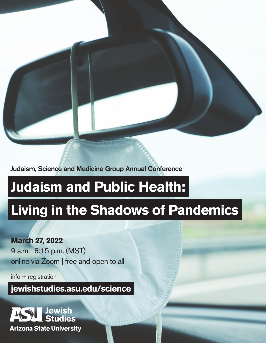

Judaism, Science and Medicine Group Annual Conference

# **Judaism and Public Health:**

# **Living in the Shadows of Pandemics**

**March 27, 2022** 9 a.m.–6:15 p.m. (MST) online via Zoom | free and open to all

info + registration

**jewishstudies.asu.edu/science**

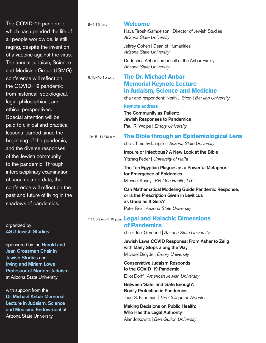The COVID-19 pandemic, which has upended the life of all people worldwide, is still raging, despite the invention of a vaccine against the virus. The annual Judaism, Science and Medicine Group (JSMG) conference will reflect on the COVID-19 pandemic from historical, sociological, legal, philosophical, and ethical perspectives. Special attention will be paid to clinical and practical lessons learned since the beginning of the pandemic, and the diverse responses of the Jewish community to the pandemic. Through interdisciplinary examination of accumulated data, the conference will reflect on the past and future of living in the shadows of pandemics.

organized by ASU Jewish Studies

sponsored by the **Harold and** Jean Grossman Chair in Jewish Studies and Irving and Miriam Lowe Professor of Modern Judaism at Arizona State University

with support from the Dr. Michael Anbar Memorial Lecture in Judaism, Science and Medicine Endowment at Arizona State University

| $9 - 9:15$ a.m. |  | <b>Welcome</b> |  |
|-----------------|--|----------------|--|
|-----------------|--|----------------|--|

Hava Tirosh-Samuelson | Director of Jewish Studies *Arizona State University*

Jeffrey Cohen | Dean of Humanities *Arizona State University*

Dr. Joshua Anbar | on behalf of the Anbar Family *Arizona State University*

## 9:15–10:15 a.m. **The Dr. Michael Anbar Memorial Keynote Lecture in Judaism, Science and Medicine**

chair and respondent: Noah J. Efron | *Bar Ilan University*

#### keynote address

The Community as Patient: Jewish Responses to Pandemics Paul R. Wolpe | *Emory University*

### 10:15–11:30 a.m. **The Bible through an Epidemiological Lens**

chair: Timothy Langille | *Arizona State University*

Impure or Infectious? A New Look at the Bible Yitzhaq Feder | *University of Haifa*

The Ten Egyptian Plagues as a Powerful Metaphor for Emergence of Epidemics Michael Kosoy | *KB One Health, LLC*

Can Mathematical Modeling Guide Pandemic Response, or is the Prescription Given in Leviticus as Good as It Gets? Peter Rez | *Arizona State University*

### 11:30 a.m.–1:10 p.m. **Legal and Halachic Dimensions of Pandemics**

chair: Joel Gereboff | *Arizona State University*

Jewish Laws COVID Responsa: From Asher to Zelig with Many Stops along the Way Michael Broyde | *Emory University*

Conservative Judaism Responds to the COVID-19 Pandemic

Elliot Dorff | *American Jewish University*

Between 'Safe' and 'Safe Enough': Bodily Protection in Pandemics Joan S. Friedman | *The College of Wooster*

Making Decisions on Public Health: Who Has the Legal Authority Alan Jotkowitz | *Ben Gurion University*